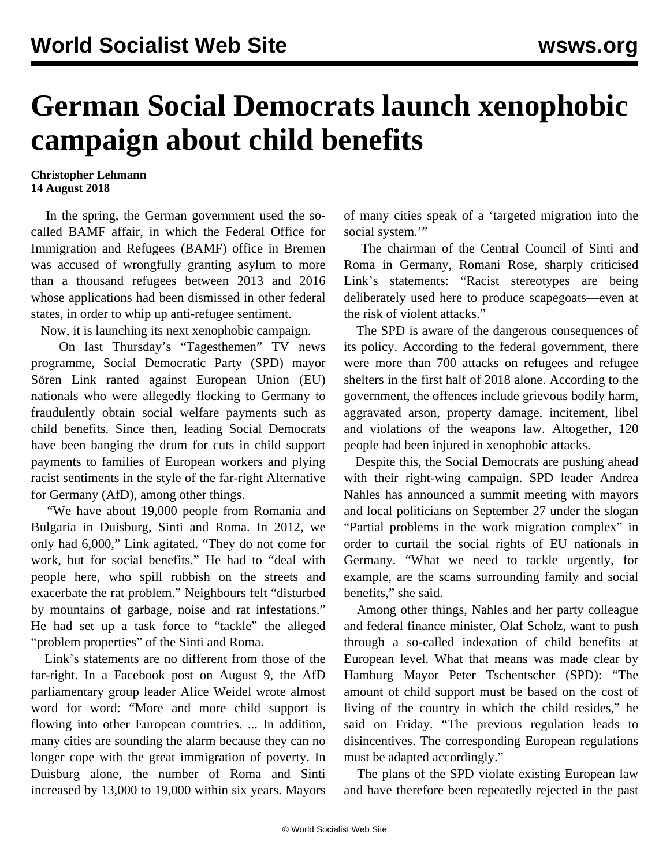## **German Social Democrats launch xenophobic campaign about child benefits**

## **Christopher Lehmann 14 August 2018**

 In the spring, the German government used the socalled BAMF affair, in which the Federal Office for Immigration and Refugees (BAMF) office in Bremen was accused of wrongfully granting asylum to more than a thousand refugees between 2013 and 2016 whose applications had been dismissed in other federal states, in order to whip up anti-refugee sentiment.

Now, it is launching its next xenophobic campaign.

 On last Thursday's "Tagesthemen" TV news programme, Social Democratic Party (SPD) mayor Sören Link ranted against European Union (EU) nationals who were allegedly flocking to Germany to fraudulently obtain social welfare payments such as child benefits. Since then, leading Social Democrats have been banging the drum for cuts in child support payments to families of European workers and plying racist sentiments in the style of the far-right Alternative for Germany (AfD), among other things.

 "We have about 19,000 people from Romania and Bulgaria in Duisburg, Sinti and Roma. In 2012, we only had 6,000," Link agitated. "They do not come for work, but for social benefits." He had to "deal with people here, who spill rubbish on the streets and exacerbate the rat problem." Neighbours felt "disturbed by mountains of garbage, noise and rat infestations." He had set up a task force to "tackle" the alleged "problem properties" of the Sinti and Roma.

 Link's statements are no different from those of the far-right. In a Facebook post on August 9, the AfD parliamentary group leader Alice Weidel wrote almost word for word: "More and more child support is flowing into other European countries. ... In addition, many cities are sounding the alarm because they can no longer cope with the great immigration of poverty. In Duisburg alone, the number of Roma and Sinti increased by 13,000 to 19,000 within six years. Mayors

of many cities speak of a 'targeted migration into the social system."

 The chairman of the Central Council of Sinti and Roma in Germany, Romani Rose, sharply criticised Link's statements: "Racist stereotypes are being deliberately used here to produce scapegoats—even at the risk of violent attacks."

 The SPD is aware of the dangerous consequences of its policy. According to the federal government, there were more than 700 attacks on refugees and refugee shelters in the first half of 2018 alone. According to the government, the offences include grievous bodily harm, aggravated arson, property damage, incitement, libel and violations of the weapons law. Altogether, 120 people had been injured in xenophobic attacks.

 Despite this, the Social Democrats are pushing ahead with their right-wing campaign. SPD leader Andrea Nahles has announced a summit meeting with mayors and local politicians on September 27 under the slogan "Partial problems in the work migration complex" in order to curtail the social rights of EU nationals in Germany. "What we need to tackle urgently, for example, are the scams surrounding family and social benefits," she said.

 Among other things, Nahles and her party colleague and federal finance minister, Olaf Scholz, want to push through a so-called indexation of child benefits at European level. What that means was made clear by Hamburg Mayor Peter Tschentscher (SPD): "The amount of child support must be based on the cost of living of the country in which the child resides," he said on Friday. "The previous regulation leads to disincentives. The corresponding European regulations must be adapted accordingly."

 The plans of the SPD violate existing European law and have therefore been repeatedly rejected in the past